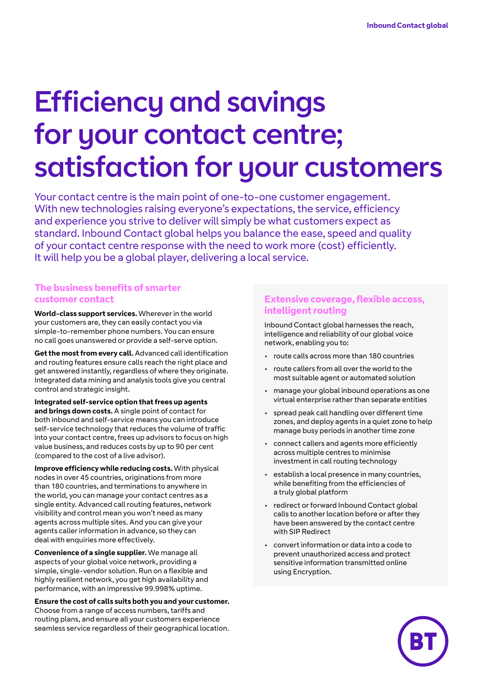# Efficiency and savings for your contact centre; satisfaction for your customers

Your contact centre is the main point of one-to-one customer engagement. With new technologies raising everyone's expectations, the service, efficiency and experience you strive to deliver will simply be what customers expect as standard. Inbound Contact global helps you balance the ease, speed and quality of your contact centre response with the need to work more (cost) efficiently. It will help you be a global player, delivering a local service.

#### **The business benefits of smarter customer contact**

**World-class support services.** Wherever in the world your customers are, they can easily contact you via simple-to-remember phone numbers. You can ensure no call goes unanswered or provide a self-serve option.

**Get the most from every call.** Advanced call identification and routing features ensure calls reach the right place and get answered instantly, regardless of where they originate. Integrated data mining and analysis tools give you central control and strategic insight.

**Integrated self-service option that frees up agents and brings down costs.** A single point of contact for both inbound and self-service means you can introduce self-service technology that reduces the volume of traffic into your contact centre, frees up advisors to focus on high value business, and reduces costs by up to 90 per cent (compared to the cost of a live advisor).

**Improve efficiency while reducing costs.** With physical nodes in over 45 countries, originations from more than 180 countries, and terminations to anywhere in the world, you can manage your contact centres as a single entity. Advanced call routing features, network visibility and control mean you won't need as many agents across multiple sites. And you can give your agents caller information in advance, so they can deal with enquiries more effectively.

**Convenience of a single supplier.** We manage all aspects of your global voice network, providing a simple, single-vendor solution. Run on a flexible and highly resilient network, you get high availability and performance, with an impressive 99.998% uptime.

**Ensure the cost of calls suits both you and your customer.** Choose from a range of access numbers, tariffs and routing plans, and ensure all your customers experience seamless service regardless of their geographical location.

#### **Extensive coverage, flexible access, intelligent routing**

Inbound Contact global harnesses the reach, intelligence and reliability of our global voice network, enabling you to:

- route calls across more than 180 countries
- route callers from all over the world to the most suitable agent or automated solution
- manage your global inbound operations as one virtual enterprise rather than separate entities
- spread peak call handling over different time zones, and deploy agents in a quiet zone to help manage busy periods in another time zone
- connect callers and agents more efficiently across multiple centres to minimise investment in call routing technology
- establish a local presence in many countries, while benefiting from the efficiencies of a truly global platform
- redirect or forward Inbound Contact global calls to another location before or after they have been answered by the contact centre with SIP Redirect
- convert information or data into a code to prevent unauthorized access and protect sensitive information transmitted online using Encryption.